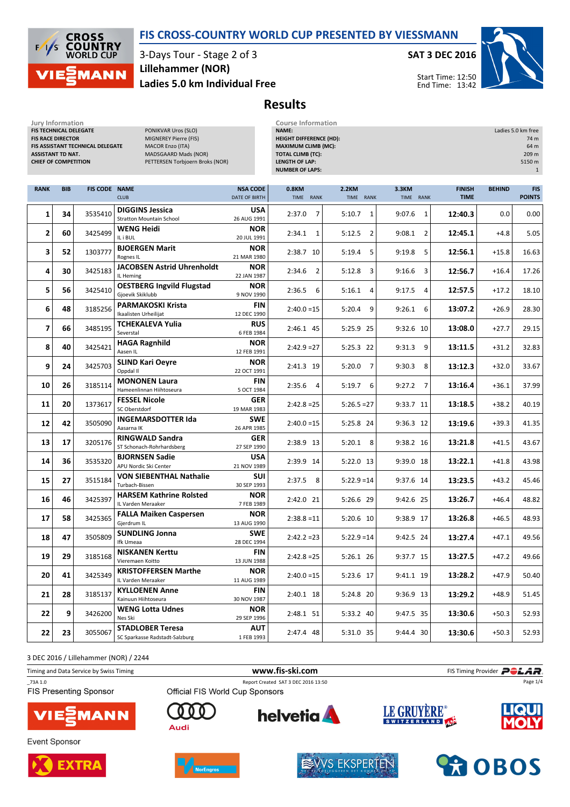### FIS CROSS-COUNTRY WORLD CUP PRESENTED BY VIESSMANN

**CROSS<br>COUNTRY**<br>WORLD CUP  $\overline{\phantom{a}}$ ľς **MANN** 

3-Days Tour - Stage 2 of 3 Ladies 5.0 km Individual Free Lillehammer (NOR)

Jury Information Course Information

#### SAT 3 DEC 2016

Start Time: 12:50 End Time: 13:42



# Results

| FIS TECHNICAL DELEGATE<br><b>FIS RACE DIRECTOR</b><br><b>ASSISTANT TD NAT.</b><br><b>CHIEF OF COMPETITION</b> |            | FIS ASSISTANT TECHNICAL DELEGATE | PONIKVAR Uros (SLO)<br>MIGNEREY Pierre (FIS)<br><b>MACOR Enzo (ITA)</b><br>MADSGAARD Mads (NOR)<br>PETTERSEN Torbjoern Broks (NOR) |                                  | NAME:<br><b>HEIGHT DIFFERENCE (HD):</b><br><b>MAXIMUM CLIMB (MC):</b><br><b>TOTAL CLIMB (TC):</b><br><b>LENGTH OF LAP:</b><br><b>NUMBER OF LAPS:</b> |                           |                           |                              |               | Ladies 5.0 km free<br>74 m<br>64 m<br>209 m<br>5150 m<br>$\mathbf{1}$ |  |
|---------------------------------------------------------------------------------------------------------------|------------|----------------------------------|------------------------------------------------------------------------------------------------------------------------------------|----------------------------------|------------------------------------------------------------------------------------------------------------------------------------------------------|---------------------------|---------------------------|------------------------------|---------------|-----------------------------------------------------------------------|--|
| <b>RANK</b>                                                                                                   | <b>BIB</b> | <b>FIS CODE NAME</b>             | <b>CLUB</b>                                                                                                                        | <b>NSA CODE</b><br>DATE OF BIRTH | 0.8KM<br>TIME RANK                                                                                                                                   | <b>2.2KM</b><br>TIME RANK | <b>3.3KM</b><br>TIME RANK | <b>FINISH</b><br><b>TIME</b> | <b>BEHIND</b> | <b>FIS</b><br><b>POINTS</b>                                           |  |
| 1                                                                                                             | 34         | 3535410                          | <b>DIGGINS Jessica</b><br><b>Stratton Mountain School</b>                                                                          | <b>USA</b><br>26 AUG 1991        | $\overline{7}$<br>2:37.0                                                                                                                             | 5:10.7<br>1               | 9:07.6<br>$\mathbf{1}$    | 12:40.3                      | 0.0           | 0.00                                                                  |  |
| 2                                                                                                             | 60         | 3425499                          | <b>WENG Heidi</b><br>IL i BUL                                                                                                      | <b>NOR</b><br>20 JUL 1991        | 2:34.1<br>1                                                                                                                                          | $\overline{2}$<br>5:12.5  | 9:08.1<br>$\overline{2}$  | 12:45.1                      | $+4.8$        | 5.05                                                                  |  |
| 3                                                                                                             | 52         | 1303777                          | <b>BJOERGEN Marit</b><br>Rognes IL                                                                                                 | <b>NOR</b><br>21 MAR 1980        | 2:38.7 10                                                                                                                                            | 5:19.4<br>5               | 9:19.8<br>5               | 12:56.1                      | $+15.8$       | 16.63                                                                 |  |
| 4                                                                                                             | 30         | 3425183                          | <b>JACOBSEN Astrid Uhrenholdt</b><br>IL Heming                                                                                     | <b>NOR</b><br>22 JAN 1987        | 2:34.6<br>$\overline{2}$                                                                                                                             | 3<br>5:12.8               | 3<br>9:16.6               | 12:56.7                      | $+16.4$       | 17.26                                                                 |  |
| 5                                                                                                             | 56         | 3425410                          | <b>OESTBERG Ingvild Flugstad</b><br>Gjoevik Skiklubb                                                                               | <b>NOR</b><br>9 NOV 1990         | 2:36.5<br>6                                                                                                                                          | 5:16.1<br>4               | 9:17.5<br>4               | 12:57.5                      | $+17.2$       | 18.10                                                                 |  |
| 6                                                                                                             | 48         | 3185256                          | <b>PARMAKOSKI Krista</b><br>Ikaalisten Urheilijat                                                                                  | <b>FIN</b><br>12 DEC 1990        | $2:40.0 = 15$                                                                                                                                        | 5:20.4<br>9               | 9:26.1<br>6               | 13:07.2                      | $+26.9$       | 28.30                                                                 |  |
| 7                                                                                                             | 66         | 3485195                          | TCHEKALEVA Yulia<br>Severstal                                                                                                      | <b>RUS</b><br>6 FEB 1984         | 2:46.1 45                                                                                                                                            | 5:25.9 25                 | 9:32.6 10                 | 13:08.0                      | $+27.7$       | 29.15                                                                 |  |
| 8                                                                                                             | 40         | 3425421                          | <b>HAGA Ragnhild</b><br>Aasen IL                                                                                                   | <b>NOR</b><br>12 FEB 1991        | $2:42.9 = 27$                                                                                                                                        | $5:25.3$ 22               | 9<br>9:31.3               | 13:11.5                      | $+31.2$       | 32.83                                                                 |  |
| 9                                                                                                             | 24         | 3425703                          | <b>SLIND Kari Oevre</b><br>Oppdal II                                                                                               | <b>NOR</b><br>22 OCT 1991        | 2:41.3 19                                                                                                                                            | 7<br>5:20.0               | 8<br>9:30.3               | 13:12.3                      | $+32.0$       | 33.67                                                                 |  |
| 10                                                                                                            | 26         | 3185114                          | <b>MONONEN Laura</b><br>Hameenlinnan Hiihtoseura                                                                                   | FIN<br>5 OCT 1984                | $2:35.6$ 4                                                                                                                                           | $5:19.7$ 6                | 9:27.2<br>$\overline{7}$  | 13:16.4                      | $+36.1$       | 37.99                                                                 |  |
| 11                                                                                                            | 20         | 1373617                          | <b>FESSEL Nicole</b><br>SC Oberstdorf                                                                                              | <b>GER</b><br>19 MAR 1983        | $2:42.8 = 25$                                                                                                                                        | $5:26.5=27$               | 9:33.7 11                 | 13:18.5                      | $+38.2$       | 40.19                                                                 |  |
| 12                                                                                                            | 42         | 3505090                          | <b>INGEMARSDOTTER Ida</b><br>Aasarna IK                                                                                            | <b>SWE</b><br>26 APR 1985        | $2:40.0 = 15$                                                                                                                                        | 5:25.8 24                 | 9:36.3 12                 | 13:19.6                      | $+39.3$       | 41.35                                                                 |  |
| 13                                                                                                            | 17         | 3205176                          | <b>RINGWALD Sandra</b><br>ST Schonach-Rohrhardsberg                                                                                | <b>GER</b><br>27 SEP 1990        | 2:38.9 13                                                                                                                                            | $5:20.1$ 8                | 9:38.2 16                 | 13:21.8                      | $+41.5$       | 43.67                                                                 |  |
| 14                                                                                                            | 36         | 3535320                          | <b>BJORNSEN Sadie</b><br>APU Nordic Ski Center                                                                                     | USA<br>21 NOV 1989               | 2:39.9 14                                                                                                                                            | 5:22.0 13                 | 9:39.0 18                 | 13:22.1                      | $+41.8$       | 43.98                                                                 |  |
| 15                                                                                                            | 27         | 3515184                          | <b>VON SIEBENTHAL Nathalie</b><br>Turbach-Bissen                                                                                   | SUI<br>30 SEP 1993               | 2:37.5<br>8                                                                                                                                          | $5:22.9 = 14$             | 9:37.6 14                 | 13:23.5                      | $+43.2$       | 45.46                                                                 |  |
| 16                                                                                                            | 46         | 3425397                          | <b>HARSEM Kathrine Rolsted</b><br>IL Varden Meraaker                                                                               | <b>NOR</b><br>7 FEB 1989         | 2:42.0 21                                                                                                                                            | 5:26.6 29                 | 9:42.6 25                 | 13:26.7                      | $+46.4$       | 48.82                                                                 |  |
| 17                                                                                                            | 58         | 3425365                          | <b>FALLA Maiken Caspersen</b><br>Gjerdrum IL                                                                                       | <b>NOR</b><br>13 AUG 1990        | $2:38.8 = 11$                                                                                                                                        | 5:20.6 10                 | 9:38.9 17                 | 13:26.8                      | $+46.5$       | 48.93                                                                 |  |
| 18                                                                                                            | 47         | 3505809                          | <b>SUNDLING Jonna</b><br>Ifk Umeaa                                                                                                 | <b>SWE</b><br>28 DEC 1994        | $2:42.2 = 23$                                                                                                                                        | $5:22.9 = 14$             | 9:42.5 24                 | 13:27.4                      | $+47.1$       | 49.56                                                                 |  |
| 19                                                                                                            | 29         | 3185168                          | <b>NISKANEN Kerttu</b><br>Vieremaen Koitto                                                                                         | FIN<br>13 JUN 1988               | $2:42.8 = 25$                                                                                                                                        | 5:26.1 26                 | 9:37.7 15                 | 13:27.5                      | $+47.2$       | 49.66                                                                 |  |
| 20                                                                                                            | 41         | 3425349                          | <b>KRISTOFFERSEN Marthe</b><br>IL Varden Meraaker                                                                                  | <b>NOR</b><br>11 AUG 1989        | $2:40.0 = 15$                                                                                                                                        | 5:23.6 17                 | 9:41.1 19                 | 13:28.2                      | $+47.9$       | 50.40                                                                 |  |
| 21                                                                                                            | 28         | 3185137                          | <b>KYLLOENEN Anne</b><br>Kainuun Hiihtoseura                                                                                       | <b>FIN</b><br>30 NOV 1987        | 2:40.1 18                                                                                                                                            | 5:24.8 20                 | 9:36.9 13                 | 13:29.2                      | +48.9         | 51.45                                                                 |  |
| 22                                                                                                            | 9          | 3426200                          | <b>WENG Lotta Udnes</b><br>Nes Ski                                                                                                 | <b>NOR</b><br>29 SEP 1996        | 2:48.1 51                                                                                                                                            | 5:33.2 40                 | 9:47.5 35                 | 13:30.6                      | $+50.3$       | 52.93                                                                 |  |
| 22                                                                                                            | 23         | 3055067                          | <b>STADLOBER Teresa</b><br>SC Sparkasse Radstadt-Salzburg                                                                          | <b>AUT</b><br>1 FEB 1993         | 2:47.4 48                                                                                                                                            | 5:31.0 35                 | 9:44.4 30                 | 13:30.6                      | $+50.3$       | 52.93                                                                 |  |

3 DEC 2016 / Lillehammer (NOR) / 2244

Timing and Data Service by Swiss Timing **Filter and Data Service by Swiss Timing Provider** \_73A 1.0 Report Created SAT 3 DEC 2016 13:50 Page 1/4**FIS Presenting Sponsor LE GRUYÈRE helvetia**  $\Gamma$ SWITZERLAND 40<sup>2</sup>









Audi



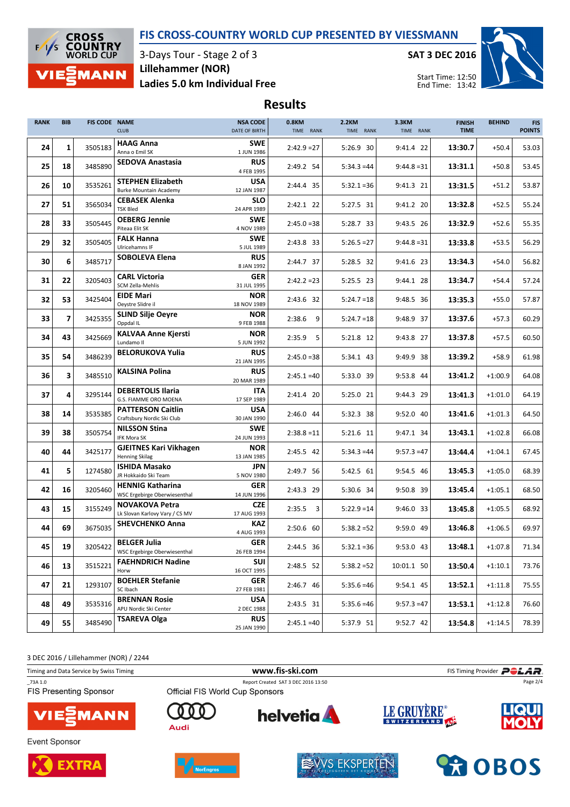#### FIS CROSS-COUNTRY WORLD CUP PRESENTED BY VIESSMANN



3-Days Tour - Stage 2 of 3 Ladies 5.0 km Individual Free Lillehammer (NOR)

SAT 3 DEC 2016



Start Time: 12:50 End Time: 13:42

# Results

| <b>RANK</b> | <b>BIB</b>     | <b>FIS CODE NAME</b> | <b>CLUB</b>                                               | <b>NSA CODE</b><br>DATE OF BIRTH | 0.8KM<br><b>2.2KM</b><br>TIME RANK<br>TIME RANK |               | 3.3KM<br><b>FINISH</b><br>TIME RANK<br><b>TIME</b> |         | <b>BEHIND</b> | <b>FIS</b><br><b>POINTS</b> |
|-------------|----------------|----------------------|-----------------------------------------------------------|----------------------------------|-------------------------------------------------|---------------|----------------------------------------------------|---------|---------------|-----------------------------|
| 24          | 1              | 3505183              | <b>HAAG Anna</b><br>Anna o Emil SK                        | <b>SWE</b><br>1 JUN 1986         | $2:42.9 = 27$                                   | 5:26.9 30     | 9:41.4 22                                          | 13:30.7 | $+50.4$       | 53.03                       |
| 25          | 18             | 3485890              | <b>SEDOVA Anastasia</b>                                   | <b>RUS</b><br>4 FEB 1995         | 2:49.2 54                                       | $5:34.3 = 44$ | $9:44.8=31$                                        | 13:31.1 | $+50.8$       | 53.45                       |
| 26          | 10             | 3535261              | <b>STEPHEN Elizabeth</b><br><b>Burke Mountain Academy</b> | <b>USA</b><br>12 JAN 1987        | 2:44.4 35                                       | $5:32.1 = 36$ | 9:41.3 21                                          | 13:31.5 | $+51.2$       | 53.87                       |
| 27          | 51             | 3565034              | <b>CEBASEK Alenka</b><br><b>TSK Bled</b>                  | <b>SLO</b><br>24 APR 1989        | 2:42.1 22                                       | 5:27.5 31     | 9:41.2 20                                          | 13:32.8 | $+52.5$       | 55.24                       |
| 28          | 33             | 3505445              | <b>OEBERG Jennie</b><br>Piteaa Elit SK                    | <b>SWE</b><br>4 NOV 1989         | $2:45.0=38$                                     | 5:28.7 33     | 9:43.5 26                                          | 13:32.9 | $+52.6$       | 55.35                       |
| 29          | 32             | 3505405              | <b>FALK Hanna</b><br>Ulricehamns IF                       | <b>SWE</b><br>5 JUL 1989         | 2:43.8 33                                       | $5:26.5=27$   | $9:44.8=31$                                        | 13:33.8 | $+53.5$       | 56.29                       |
| 30          | 6              | 3485717              | <b>SOBOLEVA Elena</b>                                     | <b>RUS</b><br>8 JAN 1992         | 2:44.7 37                                       | 5:28.5 32     | 9:41.6 23                                          | 13:34.3 | $+54.0$       | 56.82                       |
| 31          | 22             | 3205403              | <b>CARL Victoria</b><br>SCM Zella-Mehlis                  | <b>GER</b><br>31 JUL 1995        | $2:42.2 = 23$                                   | 5:25.5 23     | 9:44.1 28                                          | 13:34.7 | $+54.4$       | 57.24                       |
| 32          | 53             | 3425404              | <b>EIDE Mari</b><br>Oeystre Slidre il                     | <b>NOR</b><br>18 NOV 1989        | 2:43.6 32                                       | $5:24.7=18$   | 9:48.5 36                                          | 13:35.3 | $+55.0$       | 57.87                       |
| 33          | $\overline{7}$ | 3425355              | <b>SLIND Silje Oevre</b><br>Oppdal IL                     | <b>NOR</b><br>9 FEB 1988         | $2:38.6$ 9                                      | $5:24.7=18$   | 9:48.9 37                                          | 13:37.6 | $+57.3$       | 60.29                       |
| 34          | 43             | 3425669              | <b>KALVAA Anne Kjersti</b><br>Lundamo II                  | <b>NOR</b><br>5 JUN 1992         | 2:35.9<br>5                                     | 5:21.8 12     | 9:43.8 27                                          | 13:37.8 | $+57.5$       | 60.50                       |
| 35          | 54             | 3486239              | <b>BELORUKOVA Yulia</b>                                   | <b>RUS</b><br>21 JAN 1995        | $2:45.0 = 38$                                   | 5:34.1 43     | 9:49.9 38                                          | 13:39.2 | $+58.9$       | 61.98                       |
| 36          | 3              | 3485510              | <b>KALSINA Polina</b>                                     | <b>RUS</b><br>20 MAR 1989        | $2:45.1 = 40$                                   | 5:33.0 39     | 9:53.8 44                                          | 13:41.2 | $+1:00.9$     | 64.08                       |
| 37          | 4              | 3295144              | <b>DEBERTOLIS Ilaria</b><br>G.S. FIAMME ORO MOENA         | <b>ITA</b><br>17 SEP 1989        | 2:41.4 20                                       | 5:25.0 21     | 9:44.3 29                                          | 13:41.3 | $+1:01.0$     | 64.19                       |
| 38          | 14             | 3535385              | <b>PATTERSON Caitlin</b><br>Craftsbury Nordic Ski Club    | USA<br>30 JAN 1990               | 2:46.0 44                                       | 5:32.3 38     | 9:52.0 40                                          | 13:41.6 | $+1:01.3$     | 64.50                       |
| 39          | 38             | 3505754              | <b>NILSSON Stina</b><br>IFK Mora SK                       | <b>SWE</b><br>24 JUN 1993        | $2:38.8 = 11$                                   | 5:21.6 11     | 9:47.1 34                                          | 13:43.1 | $+1:02.8$     | 66.08                       |
| 40          | 44             | 3425177              | <b>GJEITNES Kari Vikhagen</b><br><b>Henning Skilag</b>    | <b>NOR</b><br>13 JAN 1985        | 2:45.5 42                                       | $5:34.3 = 44$ | $9:57.3 = 47$                                      | 13:44.4 | $+1:04.1$     | 67.45                       |
| 41          | 5              | 1274580              | <b>ISHIDA Masako</b><br>JR Hokkaido Ski Team              | <b>JPN</b><br>5 NOV 1980         | 2:49.7 56                                       | 5:42.5 61     | 9:54.5 46                                          | 13:45.3 | $+1:05.0$     | 68.39                       |
| 42          | 16             | 3205460              | <b>HENNIG Katharina</b><br>WSC Ergebirge Oberwiesenthal   | <b>GER</b><br>14 JUN 1996        | 2:43.3 29                                       | 5:30.6 34     | 9:50.8 39                                          | 13:45.4 | $+1:05.1$     | 68.50                       |
| 43          | 15             | 3155249              | <b>NOVAKOVA Petra</b><br>Lk Slovan Karlovy Vary / CS MV   | <b>CZE</b><br>17 AUG 1993        | $2:35.5$ 3                                      | $5:22.9 = 14$ | 9:46.0 33                                          | 13:45.8 | $+1:05.5$     | 68.92                       |
| 44          | 69             | 3675035              | <b>SHEVCHENKO Anna</b>                                    | <b>KAZ</b><br>4 AUG 1993         | 2:50.6 60                                       | $5:38.2=52$   | 9:59.0 49                                          | 13:46.8 | $+1:06.5$     | 69.97                       |
| 45          | 19             | 3205422              | <b>BELGER Julia</b><br>WSC Ergebirge Oberwiesenthal       | <b>GER</b><br>26 FEB 1994        | 2:44.5 36                                       | $5:32.1 = 36$ | 9:53.0 43                                          | 13:48.1 | $+1:07.8$     | 71.34                       |
| 46          | 13             | 3515221              | <b>FAEHNDRICH Nadine</b><br>Horw                          | <b>SUI</b><br>16 OCT 1995        | 2:48.5 52                                       | $5:38.2 = 52$ | 10:01.1 50                                         | 13:50.4 | $+1:10.1$     | 73.76                       |
| 47          | 21             | 1293107              | <b>BOEHLER Stefanie</b><br>SC Ibach                       | GER<br>27 FEB 1981               | 2:46.7 46                                       | $5:35.6 = 46$ | 9:54.1 45                                          | 13:52.1 | $+1:11.8$     | 75.55                       |
| 48          | 49             | 3535316              | <b>BRENNAN Rosie</b><br>APU Nordic Ski Center             | <b>USA</b><br>2 DEC 1988         | 2:43.5 31                                       | $5:35.6 = 46$ | $9:57.3 = 47$                                      | 13:53.1 | $+1:12.8$     | 76.60                       |
| 49          | 55             | 3485490              | <b>TSAREVA Olga</b>                                       | <b>RUS</b><br>25 JAN 1990        | $2:45.1 = 40$                                   | 5:37.9 51     | 9:52.7 42                                          | 13:54.8 | $+1:14.5$     | 78.39                       |

3 DEC 2016 / Lillehammer (NOR) / 2244

Timing and Data Service by Swiss Timing **Filter State of Timing Provider** Policy of the **POLAR** 

\_73A 1.0 Report Created SAT 3 DEC 2016 13:50 FIS Presenting Sponsor



Event Sponsor





ŋ

Audi



**helvetia** 



LE GRUYÈRE®

Page 2/4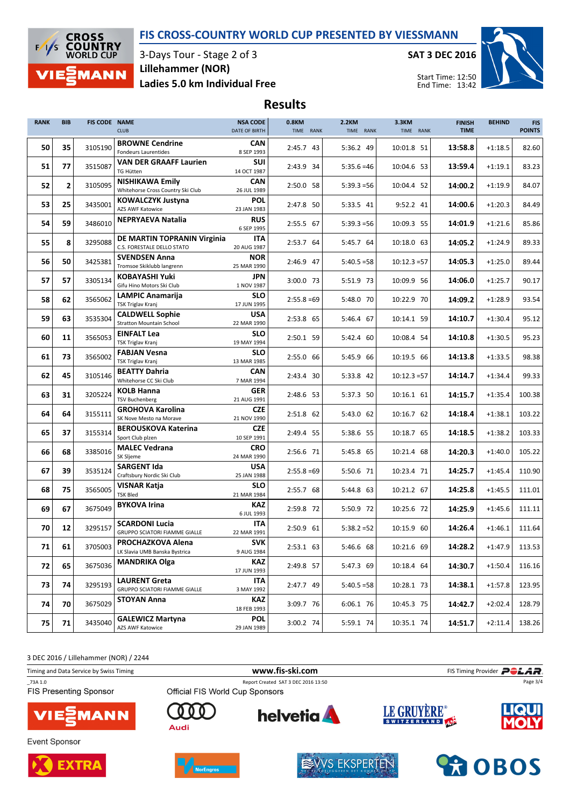#### FIS CROSS-COUNTRY WORLD CUP PRESENTED BY VIESSMANN



3-Days Tour - Stage 2 of 3 Ladies 5.0 km Individual Free Lillehammer (NOR)

SAT 3 DEC 2016



Start Time: 12:50 End Time: 13:42

# Results

| <b>RANK</b> | <b>BIB</b>     | FIS CODE NAME | <b>CLUB</b>                                                   | <b>NSA CODE</b><br>DATE OF BIRTH | 0.8KM<br>TIME RANK | <b>2.2KM</b><br>TIME RANK | <b>3.3KM</b><br>TIME RANK | <b>FINISH</b><br><b>TIME</b> | <b>BEHIND</b> | <b>FIS</b><br><b>POINTS</b> |
|-------------|----------------|---------------|---------------------------------------------------------------|----------------------------------|--------------------|---------------------------|---------------------------|------------------------------|---------------|-----------------------------|
| 50          | 35             | 3105190       | <b>BROWNE Cendrine</b><br>Fondeurs Laurentides                | <b>CAN</b><br>8 SEP 1993         | 2:45.7 43          | 5:36.2 49                 | 10:01.8 51                | 13:58.8                      | $+1:18.5$     | 82.60                       |
| 51          | 77             | 3515087       | <b>VAN DER GRAAFF Laurien</b><br><b>TG Hütten</b>             | <b>SUI</b><br>14 OCT 1987        | 2:43.9 34          | $5:35.6 = 46$             | 10:04.6 53                | 13:59.4                      | $+1:19.1$     | 83.23                       |
| 52          | $\overline{2}$ | 3105095       | <b>NISHIKAWA Emily</b><br>Whitehorse Cross Country Ski Club   | <b>CAN</b><br>26 JUL 1989        | 2:50.0 58          | $5:39.3 = 56$             | 10:04.4 52                | 14:00.2                      | $+1:19.9$     | 84.07                       |
| 53          | 25             | 3435001       | KOWALCZYK Justyna<br>AZS AWF Katowice                         | <b>POL</b><br>23 JAN 1983        | 2:47.8 50          | 5:33.5 41                 | 9:52.2 41                 | 14:00.6                      | $+1:20.3$     | 84.49                       |
| 54          | 59             | 3486010       | <b>NEPRYAEVA Natalia</b>                                      | <b>RUS</b><br>6 SEP 1995         | 2:55.5 67          | $5:39.3 = 56$             | 10:09.3 55                | 14:01.9                      | $+1:21.6$     | 85.86                       |
| 55          | 8              | 3295088       | DE MARTIN TOPRANIN Virginia<br>C.S. FORESTALE DELLO STATO     | <b>ITA</b><br>20 AUG 1987        | 2:53.7 64          | 5:45.7 64                 | 10:18.0 63                | 14:05.2                      | $+1:24.9$     | 89.33                       |
| 56          | 50             | 3425381       | <b>SVENDSEN Anna</b><br>Tromsoe Skiklubb langrenn             | <b>NOR</b><br>25 MAR 1990        | 2:46.9 47          | $5:40.5 = 58$             | $10:12.3 = 57$            | 14:05.3                      | $+1:25.0$     | 89.44                       |
| 57          | 57             | 3305134       | <b>KOBAYASHI Yuki</b><br>Gifu Hino Motors Ski Club            | <b>JPN</b><br>1 NOV 1987         | 3:00.0 73          | 5:51.9 73                 | 10:09.9 56                | 14:06.0                      | $+1:25.7$     | 90.17                       |
| 58          | 62             | 3565062       | <b>LAMPIC Anamarija</b><br><b>TSK Triglav Kranj</b>           | <b>SLO</b><br>17 JUN 1995        | $2:55.8=69$        | 5:48.0 70                 | 10:22.9 70                | 14:09.2                      | $+1:28.9$     | 93.54                       |
| 59          | 63             | 3535304       | <b>CALDWELL Sophie</b><br><b>Stratton Mountain School</b>     | <b>USA</b><br>22 MAR 1990        | 2:53.8 65          | 5:46.4 67                 | 10:14.1 59                | 14:10.7                      | $+1:30.4$     | 95.12                       |
| 60          | 11             | 3565053       | <b>EINFALT Lea</b><br><b>TSK Triglav Kranj</b>                | <b>SLO</b><br>19 MAY 1994        | 2:50.1 59          | 5:42.4 60                 | 10:08.4 54                | 14:10.8                      | $+1:30.5$     | 95.23                       |
| 61          | 73             | 3565002       | <b>FABJAN Vesna</b><br><b>TSK Triglav Kranj</b>               | <b>SLO</b><br>13 MAR 1985        | 2:55.0 66          | 5:45.9 66                 | 10:19.5 66                | 14:13.8                      | $+1:33.5$     | 98.38                       |
| 62          | 45             | 3105146       | <b>BEATTY Dahria</b><br>Whitehorse CC Ski Club                | <b>CAN</b><br>7 MAR 1994         | 2:43.4 30          | 5:33.8 42                 | $10:12.3 = 57$            | 14:14.7                      | $+1:34.4$     | 99.33                       |
| 63          | 31             | 3205224       | <b>KOLB Hanna</b><br><b>TSV Buchenberg</b>                    | <b>GER</b><br>21 AUG 1991        | 2:48.6 53          | 5:37.3 50                 | 10:16.1 61                | 14:15.7                      | $+1:35.4$     | 100.38                      |
| 64          | 64             | 3155111       | <b>GROHOVA Karolina</b><br>SK Nove Mesto na Morave            | <b>CZE</b><br>21 NOV 1990        | 2:51.8 62          | 5:43.0 62                 | 10:16.7 62                | 14:18.4                      | $+1:38.1$     | 103.22                      |
| 65          | 37             | 3155314       | <b>BEROUSKOVA Katerina</b><br>Sport Club plzen                | <b>CZE</b><br>10 SEP 1991        | 2:49.4 55          | 5:38.6 55                 | 10:18.7 65                | 14:18.5                      | $+1:38.2$     | 103.33                      |
| 66          | 68             | 3385016       | <b>MALEC Vedrana</b><br>SK Sljeme                             | <b>CRO</b><br>24 MAR 1990        | 2:56.6 71          | 5:45.8 65                 | 10:21.4 68                | 14:20.3                      | $+1:40.0$     | 105.22                      |
| 67          | 39             | 3535124       | <b>SARGENT Ida</b><br>Craftsbury Nordic Ski Club              | <b>USA</b><br>25 JAN 1988        | $2:55.8=69$        | 5:50.6 71                 | 10:23.4 71                | 14:25.7                      | $+1:45.4$     | 110.90                      |
| 68          | 75             | 3565005       | VISNAR Katja<br><b>TSK Bled</b>                               | <b>SLO</b><br>21 MAR 1984        | 2:55.7 68          | 5:44.8 63                 | 10:21.2 67                | 14:25.8                      | $+1:45.5$     | 111.01                      |
| 69          | 67             | 3675049       | <b>BYKOVA Irina</b>                                           | <b>KAZ</b><br>6 JUL 1993         | 2:59.8 72          | 5:50.9 72                 | 10:25.6 72                | 14:25.9                      | $+1:45.6$     | 111.11                      |
| 70          | 12             | 3295157       | <b>SCARDONI Lucia</b><br><b>GRUPPO SCIATORI FIAMME GIALLE</b> | <b>ITA</b><br>22 MAR 1991        | 2:50.9 61          | $5:38.2=52$               | 10:15.9 60                | 14:26.4                      | $+1:46.1$     | 111.64                      |
| 71          | 61             | 3705003       | <b>PROCHAZKOVA Alena</b><br>LK Slavia UMB Banska Bystrica     | <b>SVK</b><br>9 AUG 1984         | 2:53.1 63          | 5:46.6 68                 | 10:21.6 69                | 14:28.2                      | $+1:47.9$     | 113.53                      |
| 72          | 65             | 3675036       | <b>MANDRIKA Olga</b>                                          | <b>KAZ</b><br>17 JUN 1993        | 2:49.8 57          | 5:47.3 69                 | 10:18.4 64                | 14:30.7                      | $+1:50.4$     | 116.16                      |
| 73          | 74             | 3295193       | <b>LAURENT Greta</b><br><b>GRUPPO SCIATORI FIAMME GIALLE</b>  | <b>ITA</b><br>3 MAY 1992         | 2:47.7 49          | $5:40.5 = 58$             | 10:28.1 73                | 14:38.1                      | $+1:57.8$     | 123.95                      |
| 74          | 70             | 3675029       | <b>STOYAN Anna</b>                                            | KAZ<br>18 FEB 1993               | 3:09.7 76          | 6:06.1 76                 | 10:45.3 75                | 14:42.7                      | $+2:02.4$     | 128.79                      |
| 75          | 71             | 3435040       | <b>GALEWICZ Martyna</b><br>AZS AWF Katowice                   | <b>POL</b><br>29 JAN 1989        | 3:00.2 74          | 5:59.1 74                 | 10:35.1 74                | 14:51.7                      | $+2:11.4$     | 138.26                      |

3 DEC 2016 / Lillehammer (NOR) / 2244

Timing and Data Service by Swiss Timing **Filter State of Timing Provider** Policy of the **POLAR** 

\_73A 1.0 Report Created SAT 3 DEC 2016 13:50 FIS Presenting Sponsor



Event Sponsor





ŋ

Audi



**helvetia** 



LE GRUYÈRE®

Page 3/4